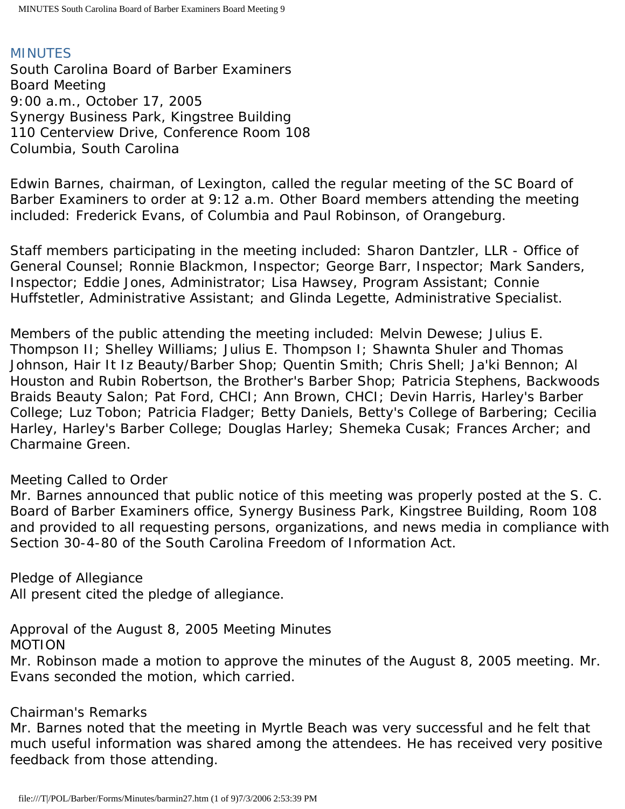## MINUTES

South Carolina Board of Barber Examiners Board Meeting 9:00 a.m., October 17, 2005 Synergy Business Park, Kingstree Building 110 Centerview Drive, Conference Room 108 Columbia, South Carolina

Edwin Barnes, chairman, of Lexington, called the regular meeting of the SC Board of Barber Examiners to order at 9:12 a.m. Other Board members attending the meeting included: Frederick Evans, of Columbia and Paul Robinson, of Orangeburg.

Staff members participating in the meeting included: Sharon Dantzler, LLR - Office of General Counsel; Ronnie Blackmon, Inspector; George Barr, Inspector; Mark Sanders, Inspector; Eddie Jones, Administrator; Lisa Hawsey, Program Assistant; Connie Huffstetler, Administrative Assistant; and Glinda Legette, Administrative Specialist.

Members of the public attending the meeting included: Melvin Dewese; Julius E. Thompson II; Shelley Williams; Julius E. Thompson I; Shawnta Shuler and Thomas Johnson, Hair It Iz Beauty/Barber Shop; Quentin Smith; Chris Shell; Ja'ki Bennon; Al Houston and Rubin Robertson, the Brother's Barber Shop; Patricia Stephens, Backwoods Braids Beauty Salon; Pat Ford, CHCI; Ann Brown, CHCI; Devin Harris, Harley's Barber College; Luz Tobon; Patricia Fladger; Betty Daniels, Betty's College of Barbering; Cecilia Harley, Harley's Barber College; Douglas Harley; Shemeka Cusak; Frances Archer; and Charmaine Green.

### Meeting Called to Order

Mr. Barnes announced that public notice of this meeting was properly posted at the S. C. Board of Barber Examiners office, Synergy Business Park, Kingstree Building, Room 108 and provided to all requesting persons, organizations, and news media in compliance with Section 30-4-80 of the South Carolina Freedom of Information Act.

Pledge of Allegiance All present cited the pledge of allegiance.

Approval of the August 8, 2005 Meeting Minutes

MOTION

Mr. Robinson made a motion to approve the minutes of the August 8, 2005 meeting. Mr. Evans seconded the motion, which carried.

### Chairman's Remarks

Mr. Barnes noted that the meeting in Myrtle Beach was very successful and he felt that much useful information was shared among the attendees. He has received very positive feedback from those attending.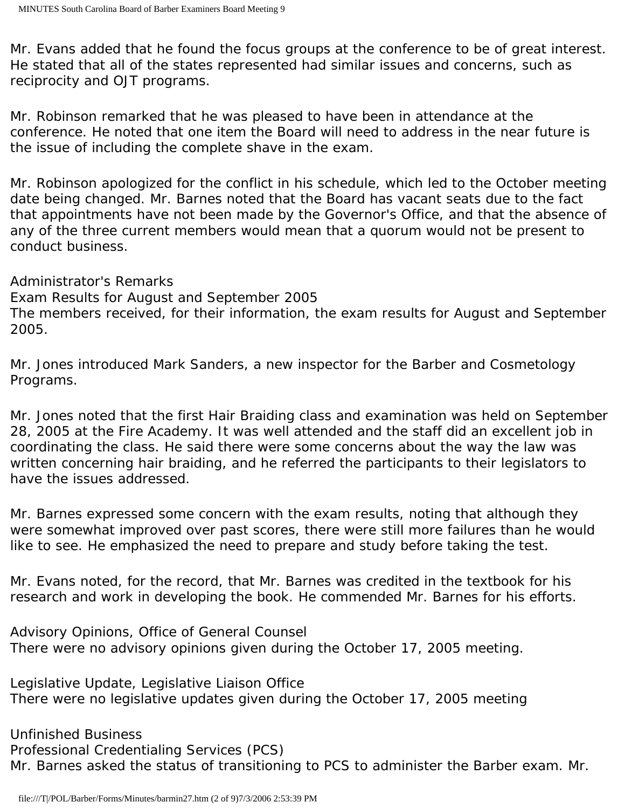Mr. Evans added that he found the focus groups at the conference to be of great interest. He stated that all of the states represented had similar issues and concerns, such as reciprocity and OJT programs.

Mr. Robinson remarked that he was pleased to have been in attendance at the conference. He noted that one item the Board will need to address in the near future is the issue of including the complete shave in the exam.

Mr. Robinson apologized for the conflict in his schedule, which led to the October meeting date being changed. Mr. Barnes noted that the Board has vacant seats due to the fact that appointments have not been made by the Governor's Office, and that the absence of any of the three current members would mean that a quorum would not be present to conduct business.

Administrator's Remarks

Exam Results for August and September 2005

The members received, for their information, the exam results for August and September 2005.

Mr. Jones introduced Mark Sanders, a new inspector for the Barber and Cosmetology Programs.

Mr. Jones noted that the first Hair Braiding class and examination was held on September 28, 2005 at the Fire Academy. It was well attended and the staff did an excellent job in coordinating the class. He said there were some concerns about the way the law was written concerning hair braiding, and he referred the participants to their legislators to have the issues addressed.

Mr. Barnes expressed some concern with the exam results, noting that although they were somewhat improved over past scores, there were still more failures than he would like to see. He emphasized the need to prepare and study before taking the test.

Mr. Evans noted, for the record, that Mr. Barnes was credited in the textbook for his research and work in developing the book. He commended Mr. Barnes for his efforts.

Advisory Opinions, Office of General Counsel There were no advisory opinions given during the October 17, 2005 meeting.

Legislative Update, Legislative Liaison Office There were no legislative updates given during the October 17, 2005 meeting

Unfinished Business Professional Credentialing Services (PCS) Mr. Barnes asked the status of transitioning to PCS to administer the Barber exam. Mr.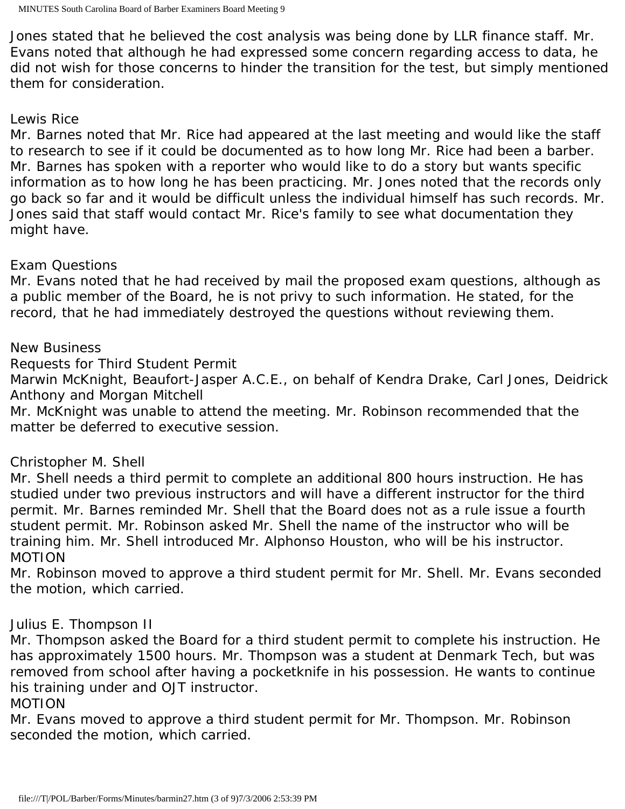Jones stated that he believed the cost analysis was being done by LLR finance staff. Mr. Evans noted that although he had expressed some concern regarding access to data, he did not wish for those concerns to hinder the transition for the test, but simply mentioned them for consideration.

# Lewis Rice

Mr. Barnes noted that Mr. Rice had appeared at the last meeting and would like the staff to research to see if it could be documented as to how long Mr. Rice had been a barber. Mr. Barnes has spoken with a reporter who would like to do a story but wants specific information as to how long he has been practicing. Mr. Jones noted that the records only go back so far and it would be difficult unless the individual himself has such records. Mr. Jones said that staff would contact Mr. Rice's family to see what documentation they might have.

# Exam Questions

Mr. Evans noted that he had received by mail the proposed exam questions, although as a public member of the Board, he is not privy to such information. He stated, for the record, that he had immediately destroyed the questions without reviewing them.

# New Business

Requests for Third Student Permit

Marwin McKnight, Beaufort-Jasper A.C.E., on behalf of Kendra Drake, Carl Jones, Deidrick Anthony and Morgan Mitchell

Mr. McKnight was unable to attend the meeting. Mr. Robinson recommended that the matter be deferred to executive session.

# Christopher M. Shell

Mr. Shell needs a third permit to complete an additional 800 hours instruction. He has studied under two previous instructors and will have a different instructor for the third permit. Mr. Barnes reminded Mr. Shell that the Board does not as a rule issue a fourth student permit. Mr. Robinson asked Mr. Shell the name of the instructor who will be training him. Mr. Shell introduced Mr. Alphonso Houston, who will be his instructor. MOTION

Mr. Robinson moved to approve a third student permit for Mr. Shell. Mr. Evans seconded the motion, which carried.

# Julius E. Thompson II

Mr. Thompson asked the Board for a third student permit to complete his instruction. He has approximately 1500 hours. Mr. Thompson was a student at Denmark Tech, but was removed from school after having a pocketknife in his possession. He wants to continue his training under and OJT instructor.

### MOTION

Mr. Evans moved to approve a third student permit for Mr. Thompson. Mr. Robinson seconded the motion, which carried.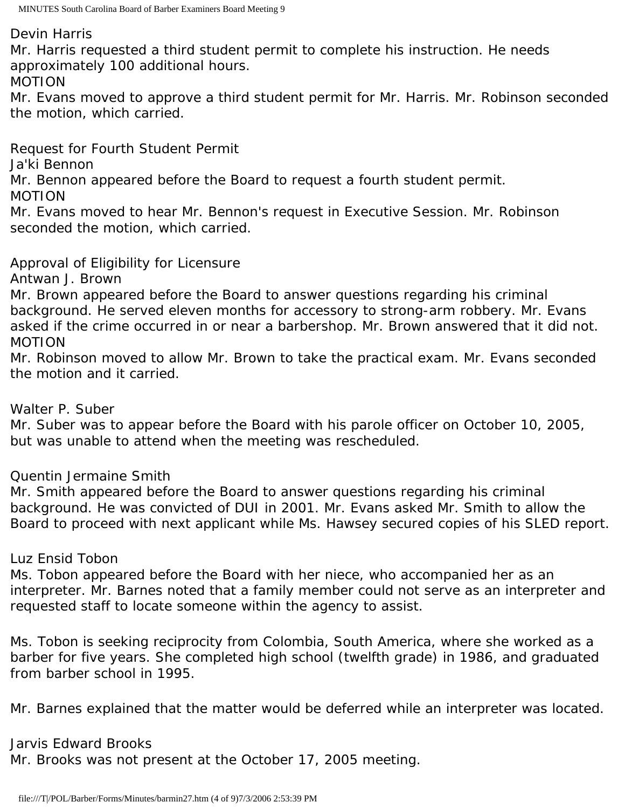Devin Harris

Mr. Harris requested a third student permit to complete his instruction. He needs approximately 100 additional hours.

MOTION

Mr. Evans moved to approve a third student permit for Mr. Harris. Mr. Robinson seconded the motion, which carried.

Request for Fourth Student Permit

Ja'ki Bennon

Mr. Bennon appeared before the Board to request a fourth student permit.

MOTION

Mr. Evans moved to hear Mr. Bennon's request in Executive Session. Mr. Robinson seconded the motion, which carried.

Approval of Eligibility for Licensure

Antwan J. Brown

Mr. Brown appeared before the Board to answer questions regarding his criminal background. He served eleven months for accessory to strong-arm robbery. Mr. Evans asked if the crime occurred in or near a barbershop. Mr. Brown answered that it did not. MOTION

Mr. Robinson moved to allow Mr. Brown to take the practical exam. Mr. Evans seconded the motion and it carried.

## Walter P. Suber

Mr. Suber was to appear before the Board with his parole officer on October 10, 2005, but was unable to attend when the meeting was rescheduled.

Quentin Jermaine Smith

Mr. Smith appeared before the Board to answer questions regarding his criminal background. He was convicted of DUI in 2001. Mr. Evans asked Mr. Smith to allow the Board to proceed with next applicant while Ms. Hawsey secured copies of his SLED report.

## Luz Ensid Tobon

Ms. Tobon appeared before the Board with her niece, who accompanied her as an interpreter. Mr. Barnes noted that a family member could not serve as an interpreter and requested staff to locate someone within the agency to assist.

Ms. Tobon is seeking reciprocity from Colombia, South America, where she worked as a barber for five years. She completed high school (twelfth grade) in 1986, and graduated from barber school in 1995.

Mr. Barnes explained that the matter would be deferred while an interpreter was located.

## Jarvis Edward Brooks

Mr. Brooks was not present at the October 17, 2005 meeting.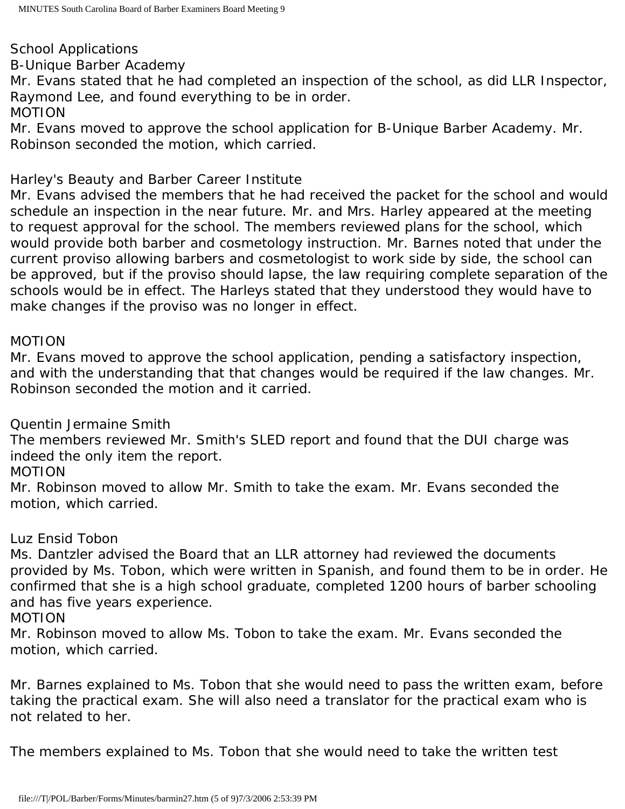School Applications

B-Unique Barber Academy

Mr. Evans stated that he had completed an inspection of the school, as did LLR Inspector, Raymond Lee, and found everything to be in order.

## MOTION

Mr. Evans moved to approve the school application for B-Unique Barber Academy. Mr. Robinson seconded the motion, which carried.

Harley's Beauty and Barber Career Institute

Mr. Evans advised the members that he had received the packet for the school and would schedule an inspection in the near future. Mr. and Mrs. Harley appeared at the meeting to request approval for the school. The members reviewed plans for the school, which would provide both barber and cosmetology instruction. Mr. Barnes noted that under the current proviso allowing barbers and cosmetologist to work side by side, the school can be approved, but if the proviso should lapse, the law requiring complete separation of the schools would be in effect. The Harleys stated that they understood they would have to make changes if the proviso was no longer in effect.

MOTION

Mr. Evans moved to approve the school application, pending a satisfactory inspection, and with the understanding that that changes would be required if the law changes. Mr. Robinson seconded the motion and it carried.

Quentin Jermaine Smith

The members reviewed Mr. Smith's SLED report and found that the DUI charge was indeed the only item the report.

MOTION

Mr. Robinson moved to allow Mr. Smith to take the exam. Mr. Evans seconded the motion, which carried.

Luz Ensid Tobon

Ms. Dantzler advised the Board that an LLR attorney had reviewed the documents provided by Ms. Tobon, which were written in Spanish, and found them to be in order. He confirmed that she is a high school graduate, completed 1200 hours of barber schooling and has five years experience.

MOTION

Mr. Robinson moved to allow Ms. Tobon to take the exam. Mr. Evans seconded the motion, which carried.

Mr. Barnes explained to Ms. Tobon that she would need to pass the written exam, before taking the practical exam. She will also need a translator for the practical exam who is not related to her.

The members explained to Ms. Tobon that she would need to take the written test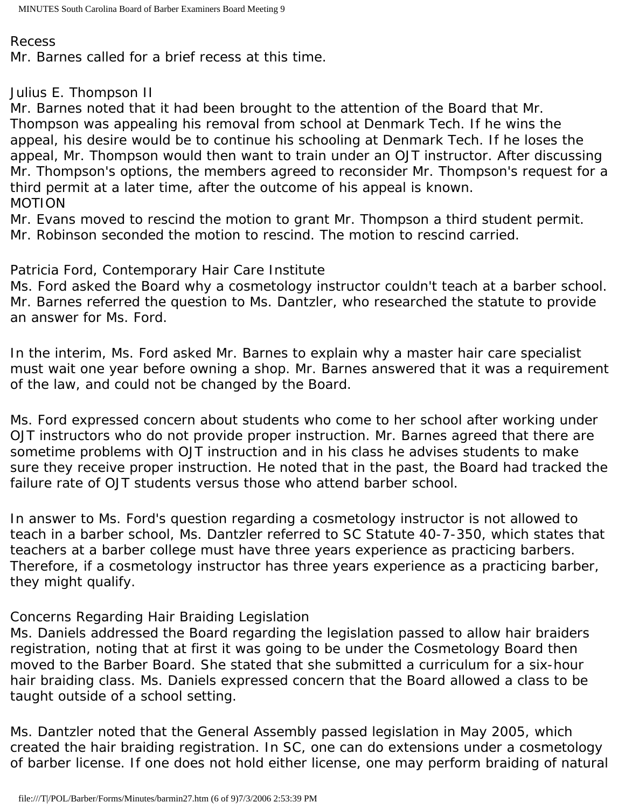#### Recess

Mr. Barnes called for a brief recess at this time.

# Julius E. Thompson II

Mr. Barnes noted that it had been brought to the attention of the Board that Mr. Thompson was appealing his removal from school at Denmark Tech. If he wins the appeal, his desire would be to continue his schooling at Denmark Tech. If he loses the appeal, Mr. Thompson would then want to train under an OJT instructor. After discussing Mr. Thompson's options, the members agreed to reconsider Mr. Thompson's request for a third permit at a later time, after the outcome of his appeal is known. MOTION

Mr. Evans moved to rescind the motion to grant Mr. Thompson a third student permit. Mr. Robinson seconded the motion to rescind. The motion to rescind carried.

Patricia Ford, Contemporary Hair Care Institute

Ms. Ford asked the Board why a cosmetology instructor couldn't teach at a barber school. Mr. Barnes referred the question to Ms. Dantzler, who researched the statute to provide an answer for Ms. Ford.

In the interim, Ms. Ford asked Mr. Barnes to explain why a master hair care specialist must wait one year before owning a shop. Mr. Barnes answered that it was a requirement of the law, and could not be changed by the Board.

Ms. Ford expressed concern about students who come to her school after working under OJT instructors who do not provide proper instruction. Mr. Barnes agreed that there are sometime problems with OJT instruction and in his class he advises students to make sure they receive proper instruction. He noted that in the past, the Board had tracked the failure rate of OJT students versus those who attend barber school.

In answer to Ms. Ford's question regarding a cosmetology instructor is not allowed to teach in a barber school, Ms. Dantzler referred to SC Statute 40-7-350, which states that teachers at a barber college must have three years experience as practicing barbers. Therefore, if a cosmetology instructor has three years experience as a practicing barber, they might qualify.

### Concerns Regarding Hair Braiding Legislation

Ms. Daniels addressed the Board regarding the legislation passed to allow hair braiders registration, noting that at first it was going to be under the Cosmetology Board then moved to the Barber Board. She stated that she submitted a curriculum for a six-hour hair braiding class. Ms. Daniels expressed concern that the Board allowed a class to be taught outside of a school setting.

Ms. Dantzler noted that the General Assembly passed legislation in May 2005, which created the hair braiding registration. In SC, one can do extensions under a cosmetology of barber license. If one does not hold either license, one may perform braiding of natural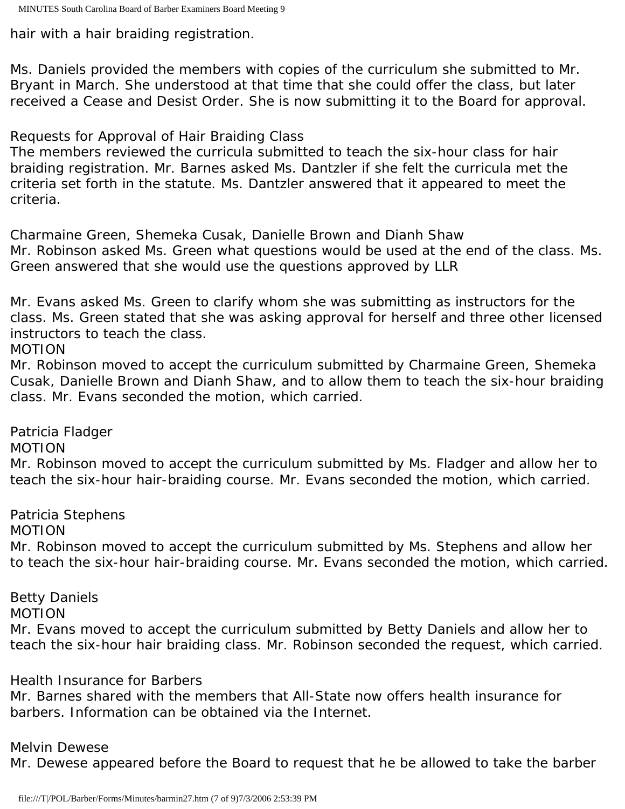hair with a hair braiding registration.

Ms. Daniels provided the members with copies of the curriculum she submitted to Mr. Bryant in March. She understood at that time that she could offer the class, but later received a Cease and Desist Order. She is now submitting it to the Board for approval.

Requests for Approval of Hair Braiding Class

The members reviewed the curricula submitted to teach the six-hour class for hair braiding registration. Mr. Barnes asked Ms. Dantzler if she felt the curricula met the criteria set forth in the statute. Ms. Dantzler answered that it appeared to meet the criteria.

Charmaine Green, Shemeka Cusak, Danielle Brown and Dianh Shaw Mr. Robinson asked Ms. Green what questions would be used at the end of the class. Ms. Green answered that she would use the questions approved by LLR

Mr. Evans asked Ms. Green to clarify whom she was submitting as instructors for the class. Ms. Green stated that she was asking approval for herself and three other licensed instructors to teach the class.

MOTION

Mr. Robinson moved to accept the curriculum submitted by Charmaine Green, Shemeka Cusak, Danielle Brown and Dianh Shaw, and to allow them to teach the six-hour braiding class. Mr. Evans seconded the motion, which carried.

Patricia Fladger

MOTION

Mr. Robinson moved to accept the curriculum submitted by Ms. Fladger and allow her to teach the six-hour hair-braiding course. Mr. Evans seconded the motion, which carried.

Patricia Stephens

MOTION

Mr. Robinson moved to accept the curriculum submitted by Ms. Stephens and allow her to teach the six-hour hair-braiding course. Mr. Evans seconded the motion, which carried.

Betty Daniels MOTION Mr. Evans moved to accept the curriculum submitted by Betty Daniels and allow her to teach the six-hour hair braiding class. Mr. Robinson seconded the request, which carried.

Health Insurance for Barbers

Mr. Barnes shared with the members that All-State now offers health insurance for barbers. Information can be obtained via the Internet.

Melvin Dewese

Mr. Dewese appeared before the Board to request that he be allowed to take the barber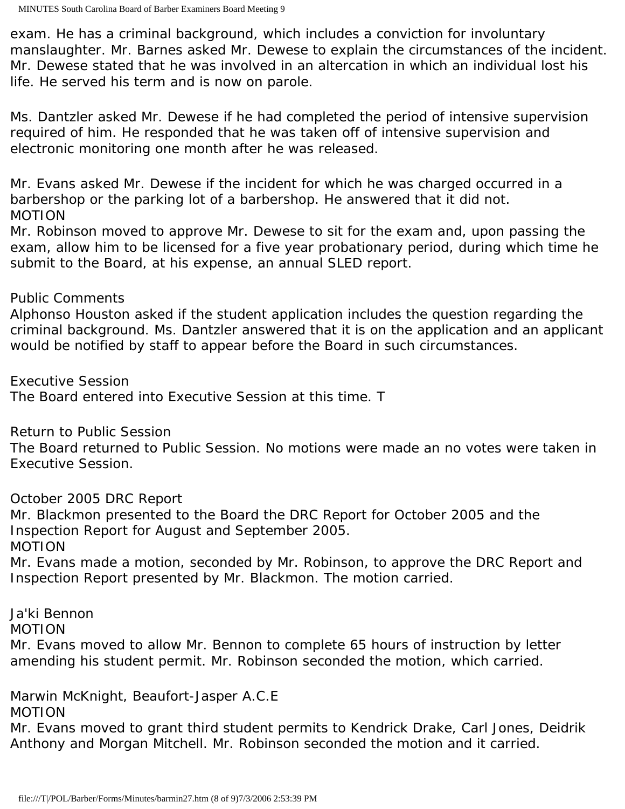exam. He has a criminal background, which includes a conviction for involuntary manslaughter. Mr. Barnes asked Mr. Dewese to explain the circumstances of the incident. Mr. Dewese stated that he was involved in an altercation in which an individual lost his life. He served his term and is now on parole.

Ms. Dantzler asked Mr. Dewese if he had completed the period of intensive supervision required of him. He responded that he was taken off of intensive supervision and electronic monitoring one month after he was released.

Mr. Evans asked Mr. Dewese if the incident for which he was charged occurred in a barbershop or the parking lot of a barbershop. He answered that it did not. MOTION

Mr. Robinson moved to approve Mr. Dewese to sit for the exam and, upon passing the exam, allow him to be licensed for a five year probationary period, during which time he submit to the Board, at his expense, an annual SLED report.

## Public Comments

Alphonso Houston asked if the student application includes the question regarding the criminal background. Ms. Dantzler answered that it is on the application and an applicant would be notified by staff to appear before the Board in such circumstances.

Executive Session

The Board entered into Executive Session at this time. T

Return to Public Session

The Board returned to Public Session. No motions were made an no votes were taken in Executive Session.

October 2005 DRC Report

Mr. Blackmon presented to the Board the DRC Report for October 2005 and the Inspection Report for August and September 2005.

MOTION

Mr. Evans made a motion, seconded by Mr. Robinson, to approve the DRC Report and Inspection Report presented by Mr. Blackmon. The motion carried.

Ja'ki Bennon

MOTION

Mr. Evans moved to allow Mr. Bennon to complete 65 hours of instruction by letter amending his student permit. Mr. Robinson seconded the motion, which carried.

Marwin McKnight, Beaufort-Jasper A.C.E

### MOTION

Mr. Evans moved to grant third student permits to Kendrick Drake, Carl Jones, Deidrik Anthony and Morgan Mitchell. Mr. Robinson seconded the motion and it carried.